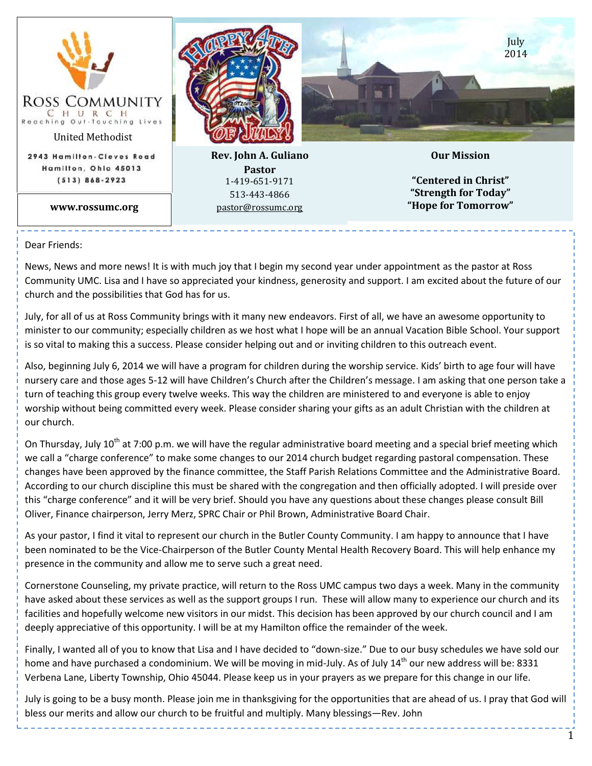

Dear Friends:

News, News and more news! It is with much joy that I begin my second year under appointment as the pastor at Ross Community UMC. Lisa and I have so appreciated your kindness, generosity and support. I am excited about the future of our church and the possibilities that God has for us.

July, for all of us at Ross Community brings with it many new endeavors. First of all, we have an awesome opportunity to minister to our community; especially children as we host what I hope will be an annual Vacation Bible School. Your support is so vital to making this a success. Please consider helping out and or inviting children to this outreach event.

Also, beginning July 6, 2014 we will have a program for children during the worship service. Kids' birth to age four will have nursery care and those ages 5-12 will have Children's Church after the Children's message. I am asking that one person take a turn of teaching this group every twelve weeks. This way the children are ministered to and everyone is able to enjoy worship without being committed every week. Please consider sharing your gifts as an adult Christian with the children at our church.

On Thursday, July 10<sup>th</sup> at 7:00 p.m. we will have the regular administrative board meeting and a special brief meeting which we call a "charge conference" to make some changes to our 2014 church budget regarding pastoral compensation. These changes have been approved by the finance committee, the Staff Parish Relations Committee and the Administrative Board. According to our church discipline this must be shared with the congregation and then officially adopted. I will preside over this "charge conference" and it will be very brief. Should you have any questions about these changes please consult Bill Oliver, Finance chairperson, Jerry Merz, SPRC Chair or Phil Brown, Administrative Board Chair.

As your pastor, I find it vital to represent our church in the Butler County Community. I am happy to announce that I have been nominated to be the Vice-Chairperson of the Butler County Mental Health Recovery Board. This will help enhance my presence in the community and allow me to serve such a great need.

Cornerstone Counseling, my private practice, will return to the Ross UMC campus two days a week. Many in the community have asked about these services as well as the support groups I run. These will allow many to experience our church and its facilities and hopefully welcome new visitors in our midst. This decision has been approved by our church council and I am deeply appreciative of this opportunity. I will be at my Hamilton office the remainder of the week.

Finally, I wanted all of you to know that Lisa and I have decided to "down-size." Due to our busy schedules we have sold our home and have purchased a condominium. We will be moving in mid-July. As of July 14<sup>th</sup> our new address will be: 8331 Verbena Lane, Liberty Township, Ohio 45044. Please keep us in your prayers as we prepare for this change in our life.

July is going to be a busy month. Please join me in thanksgiving for the opportunities that are ahead of us. I pray that God will bless our merits and allow our church to be fruitful and multiply. Many blessings—Rev. John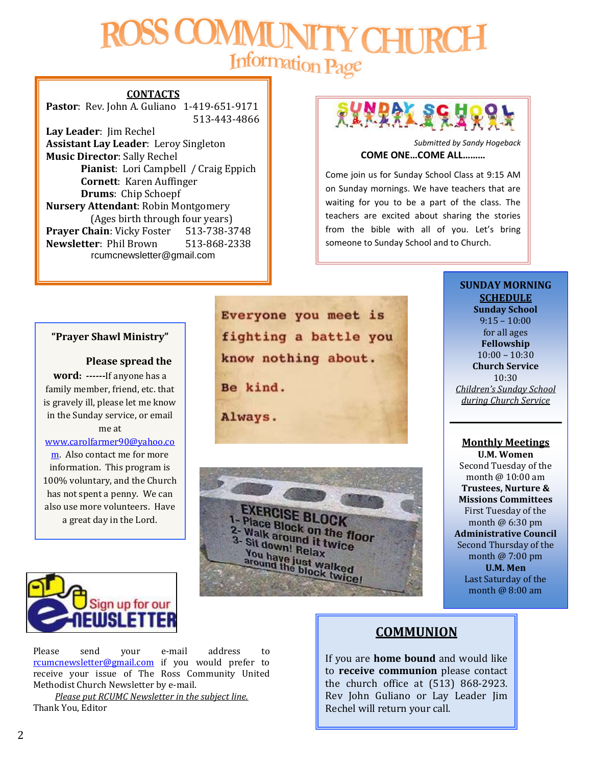# Information Page

## **CONTACTS**

**Pastor**: Rev. John A. Guliano 1-419-651-9171 513-443-4866

**Lay Leader**: Jim Rechel **Assistant Lay Leader**: Leroy Singleton **Music Director**: Sally Rechel **Pianist**: Lori Campbell / Craig Eppich **Cornett**: Karen Auffinger **Drums**: Chip Schoepf **Nursery Attendant**: Robin Montgomery (Ages birth through four years) **Prayer Chain**: Vicky Foster 513-738-3748 **Newsletter**: Phil Brown 513-868-2338 rcumcnewsletter@gmail.com

# **PLARAL SEAR**

*Submitted by Sandy Hogeback* **COME ONE…COME ALL………**

Come join us for Sunday School Class at 9:15 AM on Sunday mornings. We have teachers that are waiting for you to be a part of the class. The teachers are excited about sharing the stories from the bible with all of you. Let's bring someone to Sunday School and to Church.

### **"Prayer Shawl Ministry"**

#### **Please spread the**

**word: ------**If anyone has a family member, friend, etc. that is gravely ill, please let me know in the Sunday service, or email

#### me at

### [www.carolfarmer90@yahoo.co](http://www.carolfarmer90@yahoo.com/)

[m.](http://www.carolfarmer90@yahoo.com/) Also contact me for more information. This program is 100% voluntary, and the Church has not spent a penny. We can also use more volunteers. Have a great day in the Lord.

*Submitted by Carol Farmer*

Everyone you meet is fighting a battle you know nothing about. Be kind. Always.



**SCHEDULE Sunday School** 9:15 – 10:00 for all ages **Fellowship** 10:00 – 10:30 **Church Service** 10:30 *Children's Sunday School during Church Service*

**SUNDAY MORNING** 

## **Monthly Meetings**

**U.M. Women** Second Tuesday of the month @ 10:00 am **Trustees, Nurture & Missions Committees** First Tuesday of the month @ 6:30 pm **Administrative Council** Second Thursday of the month @ 7:00 pm **U.M. Men** Last Saturday of the month @ 8:00 am



Please send your e-mail address to [rcumcnewsletter@gmail.com](mailto:rcumcnewsletter@gmail.com) if you would prefer to receive your issue of The Ross Community United Methodist Church Newsletter by e-mail.

*Please put RCUMC Newsletter in the subject line.* Thank You, Editor

# **COMMUNION**

If you are **home bound** and would like to **receive communion** please contact the church office at (513) 868-2923. Rev John Guliano or Lay Leader Jim Rechel will return your call.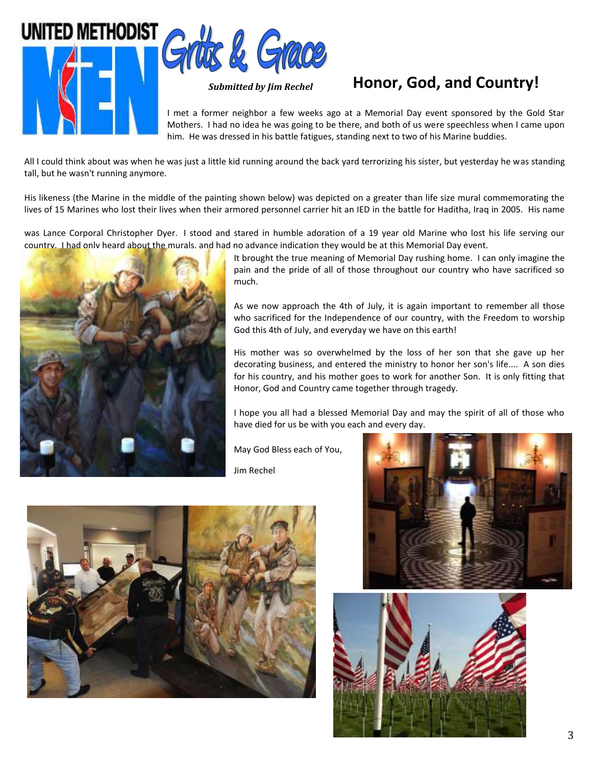



# *Submitted by Jim Rechel* **Honor, God, and Country!**

I met a former neighbor a few weeks ago at a Memorial Day event sponsored by the Gold Star Mothers. I had no idea he was going to be there, and both of us were speechless when I came upon him. He was dressed in his battle fatigues, standing next to two of his Marine buddies.

All I could think about was when he was just a little kid running around the back yard terrorizing his sister, but yesterday he was standing tall, but he wasn't running anymore.

His likeness (the Marine in the middle of the painting shown below) was depicted on a greater than life size mural commemorating the lives of 15 Marines who lost their lives when their armored personnel carrier hit an IED in the battle for Haditha, Iraq in 2005. His name

was Lance Corporal Christopher Dyer. I stood and stared in humble adoration of a 19 year old Marine who lost his life serving our country. I had only heard about the murals, and had no advance indication they would be at this Memorial Day event.



It brought the true meaning of Memorial Day rushing home. I can only imagine the pain and the pride of all of those throughout our country who have sacrificed so much.

As we now approach the 4th of July, it is again important to remember all those who sacrificed for the Independence of our country, with the Freedom to worship God this 4th of July, and everyday we have on this earth!

His mother was so overwhelmed by the loss of her son that she gave up her decorating business, and entered the ministry to honor her son's life.... A son dies for his country, and his mother goes to work for another Son. It is only fitting that Honor, God and Country came together through tragedy.

I hope you all had a blessed Memorial Day and may the spirit of all of those who have died for us be with you each and every day.

May God Bless each of You,

Jim Rechel





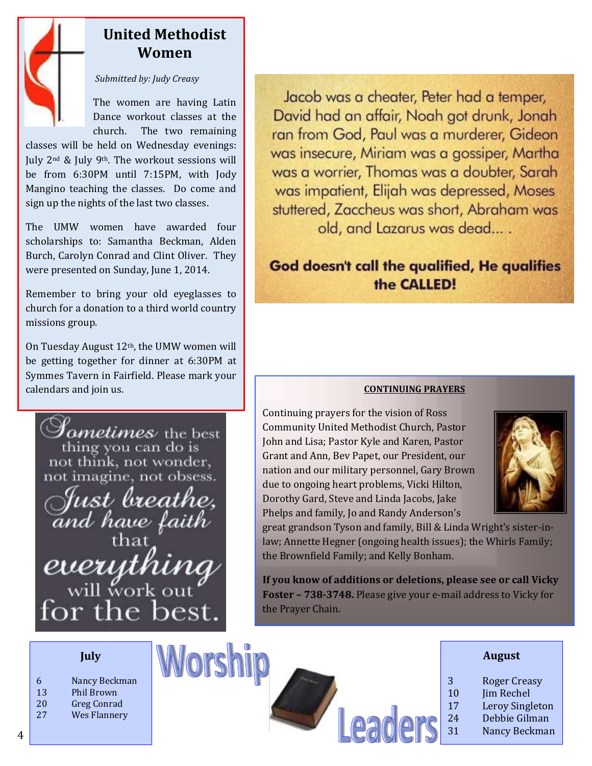

# **United Methodist Women**

# *Submitted by: Judy Creasy*

The women are having Latin Dance workout classes at the church. The two remaining

classes will be held on Wednesday evenings: July 2nd & July 9th. The workout sessions will be from 6:30PM until 7:15PM, with Jody Mangino teaching the classes. Do come and sign up the nights of the last two classes.

The UMW women have awarded four scholarships to: Samantha Beckman, Alden Burch, Carolyn Conrad and Clint Oliver. They were presented on Sunday, June 1, 2014.

Remember to bring your old eyeglasses to church for a donation to a third world country missions group.

On Tuesday August 12th, the UMW women will be getting together for dinner at 6:30PM at Symmes Tavern in Fairfield. Please mark your calendars and join us. **CONTINUING PRAYERS**



Jacob was a cheater. Peter had a temper. David had an affair, Noah got drunk, Jonah ran from God, Paul was a murderer, Gideon was insecure, Miriam was a gossiper, Martha was a worrier, Thomas was a doubter, Sarah was impatient, Elijah was depressed, Moses stuttered, Zaccheus was short, Abraham was old, and Lazarus was dead....

# God doesn't call the qualified, He qualifies the CALLED!

Continuing prayers for the vision of Ross Community United Methodist Church, Pastor John and Lisa; Pastor Kyle and Karen, Pastor Grant and Ann, Bev Papet, our President, our nation and our military personnel, Gary Brown due to ongoing heart problems, Vicki Hilton, Dorothy Gard, Steve and Linda Jacobs, Jake Phelps and family, Jo and Randy Anderson's



great grandson Tyson and family, Bill & Linda Wright's sister-inlaw; Annette Hegner (ongoing health issues); the Whirls Family; the Brownfield Family; and Kelly Bonham.

**If you know of additions or deletions, please see or call Vicky Foster – 738-3748.** Please give your e-mail address to Vicky for the Prayer Chain.

| July                                           |                | <b>August</b>                                     |
|------------------------------------------------|----------------|---------------------------------------------------|
| Nancy Beckman<br>6<br>13<br>Phil Brown         | 3<br>10        | <b>Roger Creasy</b><br>Jim Rechel                 |
| 20<br><b>Greg Conrad</b><br>27<br>Wes Flannery | 17<br>24<br>31 | Leroy Singleton<br>Debbie Gilman<br>Nancy Beckman |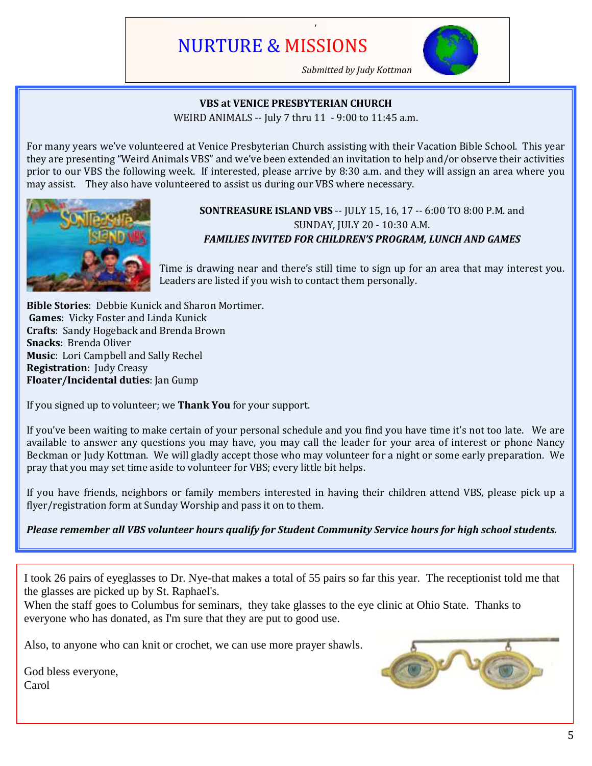# NURTURE & MISSIONS



*Submitted by Judy Kottman*

# **VBS at VENICE PRESBYTERIAN CHURCH**

/

WEIRD ANIMALS -- July 7 thru 11 - 9:00 to 11:45 a.m.

For many years we've volunteered at Venice Presbyterian Church assisting with their Vacation Bible School. This year they are presenting "Weird Animals VBS" and we've been extended an invitation to help and/or observe their activities prior to our VBS the following week. If interested, please arrive by 8:30 a.m. and they will assign an area where you may assist. They also have volunteered to assist us during our VBS where necessary.



# **SONTREASURE ISLAND VBS** -- JULY 15, 16, 17 -- 6:00 TO 8:00 P.M. and SUNDAY, JULY 20 - 10:30 A.M. *FAMILIES INVITED FOR CHILDREN'S PROGRAM, LUNCH AND GAMES*

Time is drawing near and there's still time to sign up for an area that may interest you. Leaders are listed if you wish to contact them personally.

**Bible Stories**: Debbie Kunick and Sharon Mortimer. **Games**: Vicky Foster and Linda Kunick **Crafts**: Sandy Hogeback and Brenda Brown **Snacks**: Brenda Oliver **Music**: Lori Campbell and Sally Rechel **Registration**: Judy Creasy **Floater/Incidental duties**: Jan Gump

If you signed up to volunteer; we **Thank You** for your support.

If you've been waiting to make certain of your personal schedule and you find you have time it's not too late. We are available to answer any questions you may have, you may call the leader for your area of interest or phone Nancy Beckman or Judy Kottman. We will gladly accept those who may volunteer for a night or some early preparation. We pray that you may set time aside to volunteer for VBS; every little bit helps.

If you have friends, neighbors or family members interested in having their children attend VBS, please pick up a flyer/registration form at Sunday Worship and pass it on to them.

*Please remember all VBS volunteer hours qualify for Student Community Service hours for high school students.*

I took 26 pairs of eyeglasses to Dr. Nye-that makes a total of 55 pairs so far this year. The receptionist told me that the glasses are picked up by St. Raphael's.

When the staff goes to Columbus for seminars, they take glasses to the eye clinic at Ohio State. Thanks to everyone who has donated, as I'm sure that they are put to good use.

Also, to anyone who can knit or crochet, we can use more prayer shawls.

God bless everyone, Carol

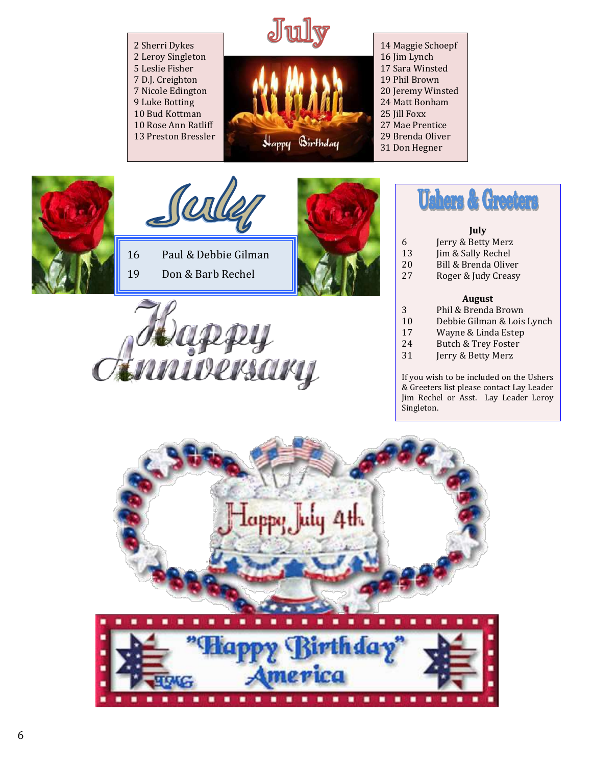2 Sherri Dykes 2 Leroy Singleton 5 Leslie Fisher 7 D.J. Creighton 7 Nicole Edington 9 Luke Botting 10 Bud Kottman 10 Rose Ann Ratliff 13 Preston Bressler



14 Maggie Schoepf 16 Jim Lynch 17 Sara Winsted 19 Phil Brown 20 Jeremy Winsted 24 Matt Bonham 25 Jill Foxx 27 Mae Prentice 29 Brenda Oliver 31 Don Hegner





16 Paul & Debbie Gilman 19 Don & Barb Rechel





<u>inniversary</u>



# **July**

- 6 Jerry & Betty Merz 13 Jim & Sally Rechel 20 Bill & Brenda Oliver
- 27 Roger & Judy Creasy

# **August**

- 3 Phil & Brenda Brown<br>10 Debbie Gilman & Lois
- 10 Debbie Gilman & Lois Lynch
- 17 Wayne & Linda Estep
- 24 Butch & Trey Foster
- 31 Jerry & Betty Merz

If you wish to be included on the Ushers & Greeters list please contact Lay Leader Jim Rechel or Asst. Lay Leader Leroy Singleton.